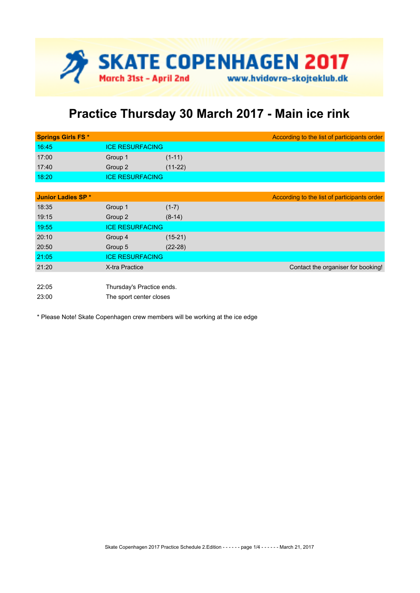

## **Practice Thursday 30 March 2017 - Main ice rink**

| 16:45<br><b>ICE RESURFACING</b> |  |
|---------------------------------|--|
| 17:00<br>$(1-11)$<br>Group 1    |  |
| 17:40<br>$(11-22)$<br>Group 2   |  |
| 18:20<br><b>ICE RESURFACING</b> |  |

| Junior Ladies SP * |                           |           | According to the list of participants order |
|--------------------|---------------------------|-----------|---------------------------------------------|
| 18:35              | Group 1                   | $(1-7)$   |                                             |
| 19:15              | Group 2                   | $(8-14)$  |                                             |
| 19:55              | <b>ICE RESURFACING</b>    |           |                                             |
| 20:10              | Group 4                   | $(15-21)$ |                                             |
| 20:50              | Group 5                   | $(22-28)$ |                                             |
| 21:05              | <b>ICE RESURFACING</b>    |           |                                             |
| 21:20              | X-tra Practice            |           | Contact the organiser for booking!          |
|                    |                           |           |                                             |
| 22:05              | Thursday's Practice ends. |           |                                             |

23:00 The sport center closes

\* Please Note! Skate Copenhagen crew members will be working at the ice edge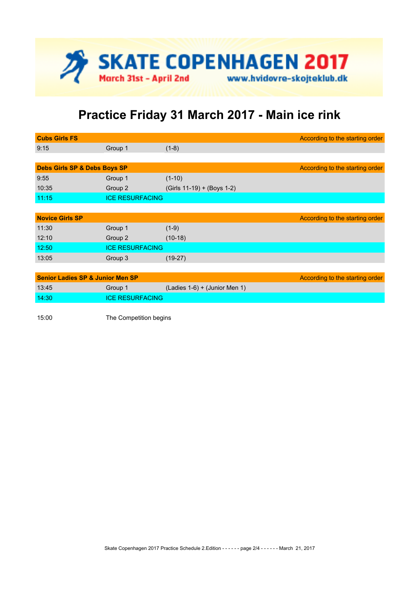

## **Practice Friday 31 March 2017 - Main ice rink**

| <b>Cubs Girls FS</b>                        |                        |                                 | According to the starting order |
|---------------------------------------------|------------------------|---------------------------------|---------------------------------|
| 9:15                                        | Group 1                | $(1-8)$                         |                                 |
|                                             |                        |                                 |                                 |
| <b>Debs Girls SP &amp; Debs Boys SP</b>     |                        |                                 | According to the starting order |
| 9:55                                        | Group 1                | $(1-10)$                        |                                 |
| 10:35                                       | Group 2                | (Girls 11-19) + (Boys 1-2)      |                                 |
| 11:15                                       | <b>ICE RESURFACING</b> |                                 |                                 |
|                                             |                        |                                 |                                 |
| <b>Novice Girls SP</b>                      |                        |                                 | According to the starting order |
| 11:30                                       | Group 1                | $(1-9)$                         |                                 |
| 12:10                                       | Group 2                | $(10-18)$                       |                                 |
| 12:50                                       | <b>ICE RESURFACING</b> |                                 |                                 |
| 13:05                                       | Group 3                | $(19-27)$                       |                                 |
|                                             |                        |                                 |                                 |
| <b>Senior Ladies SP &amp; Junior Men SP</b> |                        |                                 | According to the starting order |
| 13:45                                       | Group 1                | $(Ladies 1-6) + (Junior Men 1)$ |                                 |
| 14:30                                       | <b>ICE RESURFACING</b> |                                 |                                 |

15:00 The Competition begins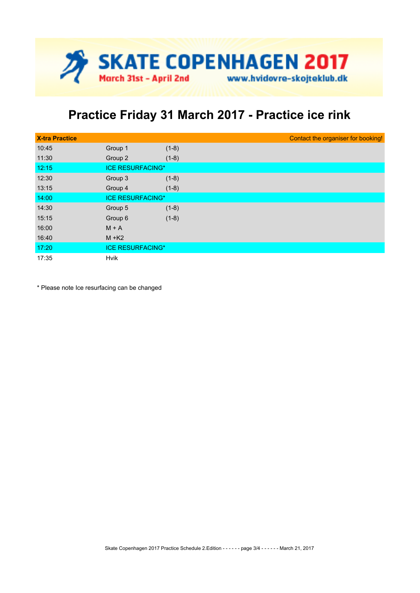

## **Practice Friday 31 March 2017 - Practice ice rink**

| <b>X-tra Practice</b> |                         |         | Contact the organiser for booking! |
|-----------------------|-------------------------|---------|------------------------------------|
| 10:45                 | Group 1                 | $(1-8)$ |                                    |
| 11:30                 | Group 2                 | $(1-8)$ |                                    |
| 12:15                 | <b>ICE RESURFACING*</b> |         |                                    |
| 12:30                 | Group 3                 | $(1-8)$ |                                    |
| 13:15                 | Group 4                 | $(1-8)$ |                                    |
| 14:00                 | <b>ICE RESURFACING*</b> |         |                                    |
| 14:30                 | Group 5                 | $(1-8)$ |                                    |
| 15:15                 | Group 6                 | $(1-8)$ |                                    |
| 16:00                 | $M + A$                 |         |                                    |
| 16:40                 | $M + K2$                |         |                                    |
| 17:20                 | <b>ICE RESURFACING*</b> |         |                                    |
| 17:35                 | <b>Hvik</b>             |         |                                    |

\* Please note Ice resurfacing can be changed